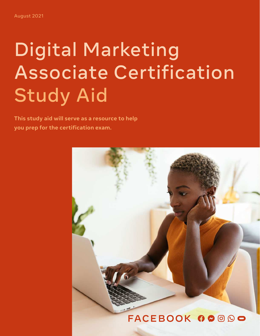# Digital Marketing Associate Certification **Study Aid**

**This study aid will serve as a resource to help you prep for the certification exam.**

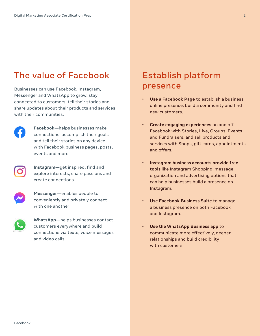### The value of Facebook Establish platform

Businesses can use Facebook, Instagram, Messenger and WhatsApp to grow, stay connected to customers, tell their stories and share updates about their products and services with their communities.



**Facebook**—helps businesses make connections, accomplish their goals and tell their stories on any device with Facebook business pages, posts, events and more



**Instagram**—get inspired, find and explore interests, share passions and create connections



**Messenger**—enables people to conveniently and privately connect with one another



**WhatsApp**—helps businesses contact customers everywhere and build connections via texts, voice messages and video calls

## presence

- **• Use a Facebook Page** to establish a business' online presence, build a community and find new customers.
- **• Create engaging experiences** on and off Facebook with Stories, Live, Groups, Events and Fundraisers, and sell products and services with Shops, gift cards, appointments and offers.
- **• Instagram business accounts provide free tools** like Instagram Shopping, message organization and advertising options that can help businesses build a presence on Instagram.
- **• Use Facebook Business Suite** to manage a business presence on both Facebook and Instagram.
- **• Use the WhatsApp Business app** to communicate more effectively, deepen relationships and build credibility with customers.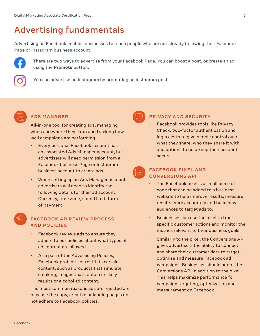### Advertising fundamentals

Advertising on Facebook enables businesses to reach people who are not already following their Facebook Page or Instagram business account.



There are two ways to advertise from your Facebook Page. You can boost a post, or create an ad using the **Promote** button.



You can advertise on Instagram by promoting an Instagram post.



### **ADS MANAGER**

All-in-one tool for creating ads, managing when and where they'll run and tracking how well campaigns are performing.

- Every personal Facebook account has an associated Ads Manager account, but advertisers will need permission from a Facebook business Page or Instagram business account to create ads.
- When setting up an Ads Manager account, advertisers will need to identify the following details for their ad account: Currency, time zone, spend limit, form of payment.

### **FACEBOOK AD REVIEW PROCESS AND POLICIES**

- Facebook reviews ads to ensure they adhere to our policies about what types of ad content are allowed.
- As a part of the Advertising Policies, Facebook prohibits or restricts certain content, such as products that simulate smoking, images that contain unlikely results or alcohol ad content.

The most common reasons ads are rejected are because the copy, creative or landing pages do not adhere to Facebook policies.

### **PRIVACY AND SECURITY**

• Facebook provides tools like Privacy Check, two-factor authentication and login alerts to give people control over what they share, who they share it with and options to help keep their account secure.



### **FACEBOOK PIXEL AND CONVERSIONS API**

- The Facebook pixel is a small piece of code that can be added to a business' website to help improve results, measure results more accurately and build new audiences to target ads to.
- Businesses can use the pixel to track specific customer actions and monitor the metrics relevant to their business goals.
- Similarly to the pixel, the Conversions API gives advertisers the ability to connect and share their customer data to target, optimize and measure Facebook ad campaigns. Businesses should adopt the Conversions API in addition to the pixel. This helps maximize performance for campaign targeting, optimization and measurement on Facebook.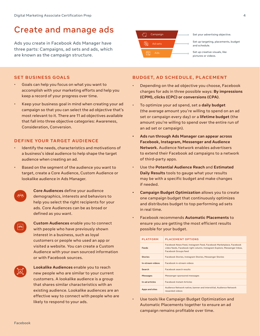### Create and manage ads<br> **Create** and manage ads

Ads you create in Facebook Ads Manager have three parts: Campaigns, ad sets and ads, which are known as the campaign structure.



Set up targeting, placements, budget and schedule.

Set up creative visuals, like pictures or videos.

#### **SET BUSINESS GOALS**

- Goals can help you focus on what you want to accomplish with your marketing efforts and help you keep a record of your progress over time.
- Keep your business goal in mind when creating your ad campaign so that you can select the ad objective that's most relevant to it. There are 11 ad objectives available that fall into three objective categories: Awareness, Consideration, Conversion.

#### **DEFINE YOUR TARGET AUDIENCE**

- Identify the needs, characteristics and motivations of a business's ideal audience to help shape the target audience when creating an ad.
- Based on the segment of the audience you want to target, create a Core Audience, Custom Audience or lookalike audience in Ads Manager.

**Core Audiences** define your audience demographics, interests and behaviors to help you select the right recipients for your ads. Core Audiences can be as broad or defined as you want.

**Custom Audiences** enable you to connect with people who have previously shown interest in a business, such as loyal customers or people who used an app or visited a website. You can create a Custom Audience with your own sourced information or with Facebook sources.

**Lookalike Audiences** enable you to reach new people who are similar to your current customers. A lookalike audience is a group that shares similar characteristics with an existing audience. Lookalike audiences are an effective way to connect with people who are likely to respond to your ads.

### **BUDGET, AD SCHEDULE, PLACEMENT**

- Depending on the ad objective you choose, Facebook charges for ads in three possible ways: **By impressions (CPM), clicks (CPC) or conversions (CPA)**.
- To optimize your ad spend, set a **daily budget** (the average amount you're willing to spend on an ad set or campaign every day) or a **lifetime budget** (the amount you're willing to spend over the entire run of an ad set or campaign).
- **• Ads run through Ads Manager can appear across Facebook, Instagram, Messenger and Audience Network.** Audience Network enables advertisers to extend their Facebook ad campaigns to a network of third-party apps.
- Use the **Potential Audience Reach** and **Estimated Daily Results** tools to gauge what your results may be with a specific budget and make changes if needed.
- **• Campaign Budget Optimization** allows you to create one campaign budget that continuously optimizes and distributes budget to top performing ad sets in real time.
- Facebook recommends **Automatic Placements** to ensure you are getting the most efficient results possible for your budget.

| <b>PLATFORM</b>  | <b>PLACEMENT OPTIONS</b>                                                                                                                                              |  |  |
|------------------|-----------------------------------------------------------------------------------------------------------------------------------------------------------------------|--|--|
| Feeds            | Facebook News Feed, Instagram Feed, Facebook Marketplace, Facebook<br>video feeds, Facebook right column, Instagram Explore, Messenger Inbox,<br>Facebook Groups feed |  |  |
| <b>Stories</b>   | Facebook Stories, Instagram Stories, Messenger Stories                                                                                                                |  |  |
| In-stream videos | Facebook in-stream videos                                                                                                                                             |  |  |
| Search           | <b>Eacebook search results</b>                                                                                                                                        |  |  |
| <b>Messages</b>  | Messenger sponsored messages                                                                                                                                          |  |  |
| In-ad articles   | <b>Facebook Instant Articles</b>                                                                                                                                      |  |  |
| Apps and sites   | Audience Network native, banner and interstitial, Audience Network<br>rewarded videos                                                                                 |  |  |

• Use tools like Campaign Budget Optimization and Automatic Placements together to ensure an ad campaign remains profitable over time.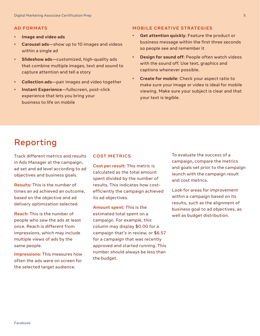#### **AD FORMATS**

- **Image and video ads**
- **Carousel ads**—show up to 10 images and videos within a single ad
- **Slideshow ads**—customized, high-quality ads that combine multiple images, text and sound to capture attention and tell a story
- **Collection ads**—pair images and video together
- **Instant Experience**—fullscreen, post-click experience that lets you bring your business to life on mobile

### **MOBILE CREATIVE STRATEGIES**

- **Get attention quickly**: Feature the product or business message within the first three seconds so people see and remember it
- **Design for sound off**: People often watch videos with the sound off. Use text, graphics and captions whenever possible.
- **Create for mobile**: Check your aspect ratio to make sure your image or video is ideal for mobile viewing. Make sure your subject is clear and that your text is legible.

### Reporting

Track different metrics and results in Ads Manager at the campaign, ad set and ad level according to ad objectives and business goals.

**Results:** This is the number of times an ad achieved an outcome, based on the objective and ad delivery optimization selected.

**Reach:** This is the number of people who saw the ads at least once. Reach is different from impressions, which may include multiple views of ads by the same people.

**Impressions:** This measures how often the ads were on screen for the selected target audience.

### **COST METRICS**

**Cost per result:** This metric is calculated as the total amount spent divided by the number of results. This indicates how costefficiently the campaign achieved its ad objectives.

**Amount spent:** This is the estimated total spent on a campaign. For example, this column may display \$0.00 for a campaign that's in review, or \$6.57 for a campaign that was recently approved and started running. This number should always be less than the budget.

To evaluate the success of a campaign, compare the metrics and goals set prior to the campaign launch with the campaign result and cost metrics.

Look for areas for improvement within a campaign based on its results, such as the alignment of business goal to ad objectives, as well as budget distribution.